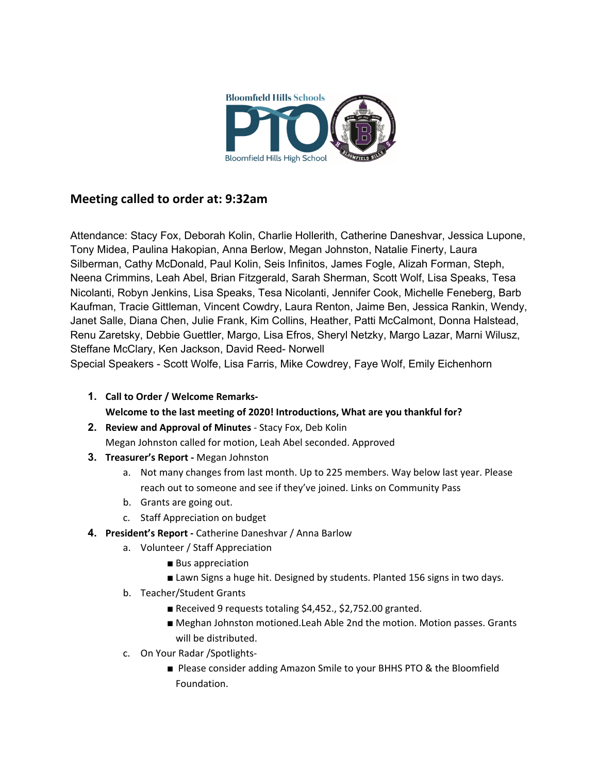

# **Meeting called to order at: 9:32am**

Attendance: Stacy Fox, Deborah Kolin, Charlie Hollerith, Catherine Daneshvar, Jessica Lupone, Tony Midea, Paulina Hakopian, Anna Berlow, Megan Johnston, Natalie Finerty, Laura Silberman, Cathy McDonald, Paul Kolin, Seis Infinitos, James Fogle, Alizah Forman, Steph, Neena Crimmins, Leah Abel, Brian Fitzgerald, Sarah Sherman, Scott Wolf, Lisa Speaks, Tesa Nicolanti, Robyn Jenkins, Lisa Speaks, Tesa Nicolanti, Jennifer Cook, Michelle Feneberg, Barb Kaufman, Tracie Gittleman, Vincent Cowdry, Laura Renton, Jaime Ben, Jessica Rankin, Wendy, Janet Salle, Diana Chen, Julie Frank, Kim Collins, Heather, Patti McCalmont, Donna Halstead, Renu Zaretsky, Debbie Guettler, Margo, Lisa Efros, Sheryl Netzky, Margo Lazar, Marni Wilusz, Steffane McClary, Ken Jackson, David Reed- Norwell

Special Speakers - Scott Wolfe, Lisa Farris, Mike Cowdrey, Faye Wolf, Emily Eichenhorn

- **1. Call to Order / Welcome Remarks-Welcome to the last meeting of 2020! Introductions, What are you thankful for?**
- **2. Review and Approval of Minutes** Stacy Fox, Deb Kolin Megan Johnston called for motion, Leah Abel seconded. Approved
- **3. Treasurer's Report -** Megan Johnston
	- a. Not many changes from last month. Up to 225 members. Way below last year. Please reach out to someone and see if they've joined. Links on Community Pass
	- b. Grants are going out.
	- c. Staff Appreciation on budget
- **4. President's Report -** Catherine Daneshvar / Anna Barlow
	- a. Volunteer / Staff Appreciation
		- Bus appreciation
		- Lawn Signs a huge hit. Designed by students. Planted 156 signs in two days.
	- b. Teacher/Student Grants
		- Received 9 requests totaling \$4,452., \$2,752.00 granted.
		- Meghan Johnston motioned.Leah Able 2nd the motion. Motion passes. Grants will be distributed.
	- c. On Your Radar /Spotlights-
		- Please consider adding Amazon Smile to your BHHS PTO & the Bloomfield Foundation.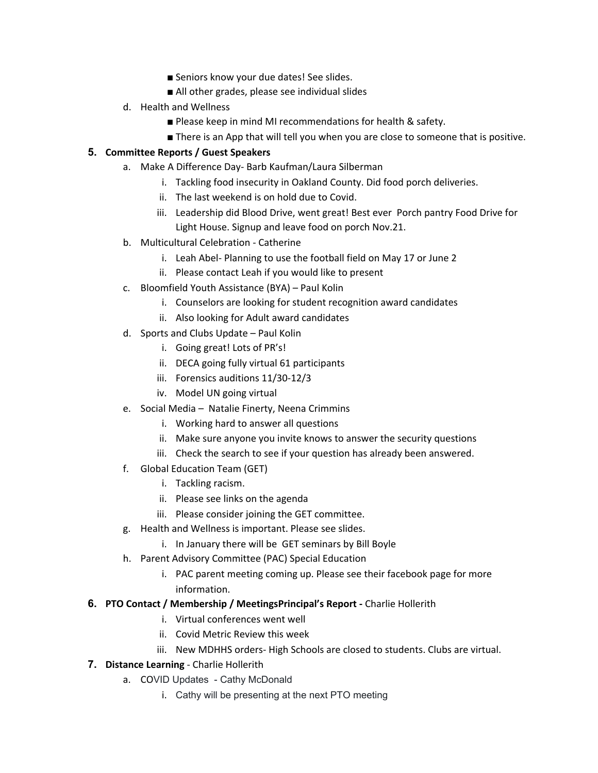- Seniors know your due dates! See slides.
- All other grades, please see individual slides
- d. Health and Wellness
	- Please keep in mind MI recommendations for health & safety.
	- There is an App that will tell you when you are close to someone that is positive.

# **5. Committee Reports / Guest Speakers**

- a. Make A Difference Day- Barb Kaufman/Laura Silberman
	- i. Tackling food insecurity in Oakland County. Did food porch deliveries.
	- ii. The last weekend is on hold due to Covid.
	- iii. Leadership did Blood Drive, went great! Best ever Porch pantry Food Drive for Light House. Signup and leave food on porch Nov.21.
- b. Multicultural Celebration Catherine
	- i. Leah Abel- Planning to use the football field on May 17 or June 2
	- ii. Please contact Leah if you would like to present
- c. Bloomfield Youth Assistance (BYA) Paul Kolin
	- i. Counselors are looking for student recognition award candidates
	- ii. Also looking for Adult award candidates
- d. Sports and Clubs Update Paul Kolin
	- i. Going great! Lots of PR's!
	- ii. DECA going fully virtual 61 participants
	- iii. Forensics auditions 11/30-12/3
	- iv. Model UN going virtual
- e. Social Media Natalie Finerty, Neena Crimmins
	- i. Working hard to answer all questions
	- ii. Make sure anyone you invite knows to answer the security questions
	- iii. Check the search to see if your question has already been answered.
- f. Global Education Team (GET)
	- i. Tackling racism.
	- ii. Please see links on the agenda
	- iii. Please consider joining the GET committee.
- g. Health and Wellness is important. Please see slides.
	- i. In January there will be GET seminars by Bill Boyle
- h. Parent Advisory Committee (PAC) Special Education
	- i. PAC parent meeting coming up. Please see their facebook page for more information.
- **6. PTO Contact / Membership / MeetingsPrincipal's Report -** Charlie Hollerith
	- i. Virtual conferences went well
	- ii. Covid Metric Review this week
	- iii. New MDHHS orders- High Schools are closed to students. Clubs are virtual.
- **7. Distance Learning** Charlie Hollerith
	- a. COVID Updates Cathy McDonald
		- i. Cathy will be presenting at the next PTO meeting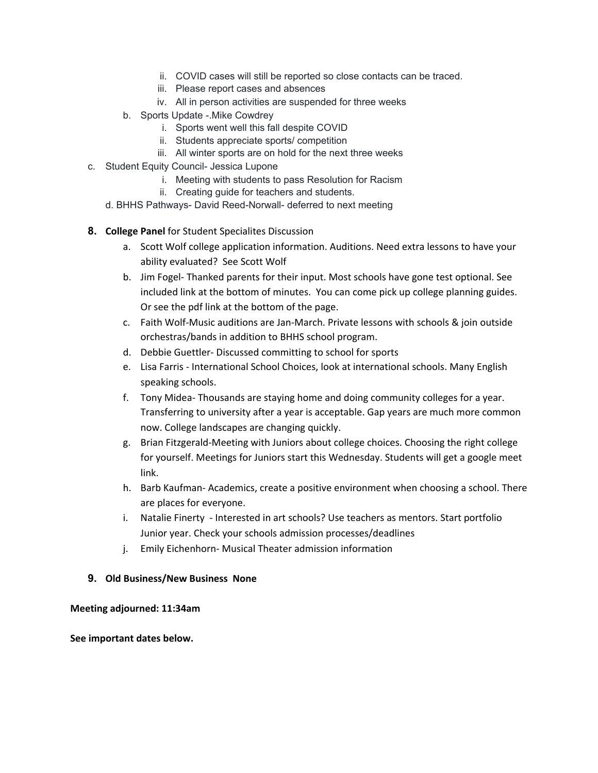- ii. COVID cases will still be reported so close contacts can be traced.
- iii. Please report cases and absences
- iv. All in person activities are suspended for three weeks
- b. Sports Update -.Mike Cowdrey
	- i. Sports went well this fall despite COVID
	- ii. Students appreciate sports/ competition
	- iii. All winter sports are on hold for the next three weeks
- c. Student Equity Council- Jessica Lupone
	- i. Meeting with students to pass Resolution for Racism
	- ii. Creating guide for teachers and students.
	- d. BHHS Pathways- David Reed-Norwall- deferred to next meeting
- **8. College Panel** for Student Specialites Discussion
	- a. Scott Wolf college application information. Auditions. Need extra lessons to have your ability evaluated? See Scott Wolf
	- b. Jim Fogel- Thanked parents for their input. Most schools have gone test optional. See included link at the bottom of minutes. You can come pick up college planning guides. Or see the pdf link at the bottom of the page.
	- c. Faith Wolf-Music auditions are Jan-March. Private lessons with schools & join outside orchestras/bands in addition to BHHS school program.
	- d. Debbie Guettler- Discussed committing to school for sports
	- e. Lisa Farris International School Choices, look at international schools. Many English speaking schools.
	- f. Tony Midea- Thousands are staying home and doing community colleges for a year. Transferring to university after a year is acceptable. Gap years are much more common now. College landscapes are changing quickly.
	- g. Brian Fitzgerald-Meeting with Juniors about college choices. Choosing the right college for yourself. Meetings for Juniors start this Wednesday. Students will get a google meet link.
	- h. Barb Kaufman- Academics, create a positive environment when choosing a school. There are places for everyone.
	- i. Natalie Finerty Interested in art schools? Use teachers as mentors. Start portfolio Junior year. Check your schools admission processes/deadlines
	- j. Emily Eichenhorn- Musical Theater admission information

# **9. Old Business/New Business None**

# **Meeting adjourned: 11:34am**

# **See important dates below.**